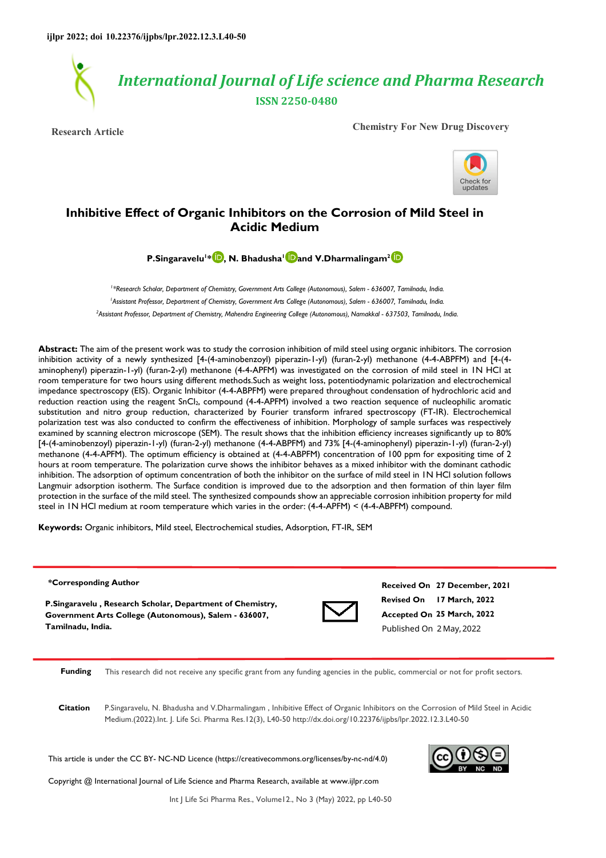

**Research Article Chemistry For New Drug Discovery**



# **Inhibitive Effect of Organic Inhibitors on the Corrosion of Mild Steel in Acidic Medium**

**P.Singaravelu<sup>1</sup> [\\* ,](https://orcid.org/0000-0002-2752-5283) N. Bhadusha<sup>1</sup> [a](https://orcid.org/0000-0003-1155-0983)nd V.Dharmalingam2**

<sup>1</sup> \*Research Scholar, Department of Chemistry, Government Arts College (Autonomous), Salem - 636007, Tamilnadu, India. <sup>1</sup>Assistant Professor, Department of Chemistry, Government Arts College (Autonomous), Salem - 636007, Tamilnadu, India. *<sup>2</sup>Assistant Professor, Department of Chemistry, Mahendra Engineering College (Autonomous), Namakkal - 637503, Tamilnadu, India.* 

**Abstract:** The aim of the present work was to study the corrosion inhibition of mild steel using organic inhibitors. The corrosion inhibition activity of a newly synthesized [4-(4-aminobenzoyl) piperazin-1-yl) (furan-2-yl) methanone (4-4-ABPFM) and [4-(4 aminophenyl) piperazin-1-yl) (furan-2-yl) methanone (4-4-APFM) was investigated on the corrosion of mild steel in 1N HCl at room temperature for two hours using different methods.Such as weight loss, potentiodynamic polarization and electrochemical impedance spectroscopy (EIS). Organic Inhibitor (4-4-ABPFM) were prepared throughout condensation of hydrochloric acid and reduction reaction using the reagent SnCl<sub>2</sub>, compound (4-4-APFM) involved a two reaction sequence of nucleophilic aromatic substitution and nitro group reduction, characterized by Fourier transform infrared spectroscopy (FT-IR). Electrochemical polarization test was also conducted to confirm the effectiveness of inhibition. Morphology of sample surfaces was respectively examined by scanning electron microscope (SEM). The result shows that the inhibition efficiency increases significantly up to 80% [4-(4-aminobenzoyl) piperazin-1-yl) (furan-2-yl) methanone (4-4-ABPFM) and 73% [4-(4-aminophenyl) piperazin-1-yl) (furan-2-yl) methanone (4-4-APFM). The optimum efficiency is obtained at (4-4-ABPFM) concentration of 100 ppm for expositing time of 2 hours at room temperature. The polarization curve shows the inhibitor behaves as a mixed inhibitor with the dominant cathodic inhibition. The adsorption of optimum concentration of both the inhibitor on the surface of mild steel in 1N HCl solution follows Langmuir adsorption isotherm. The Surface condition is improved due to the adsorption and then formation of thin layer film protection in the surface of the mild steel. The synthesized compounds show an appreciable corrosion inhibition property for mild steel in 1N HCl medium at room temperature which varies in the order: (4-4-APFM) < (4-4-ABPFM) compound.

**Keywords:** Organic inhibitors, Mild steel, Electrochemical studies, Adsorption, FT-IR, SEM

#### **\*Corresponding Author**

**P.Singaravelu , Research Scholar, Department of Chemistry, Government Arts College (Autonomous), Salem - 636007, Tamilnadu, India.**



**Revised On 17 March, 2022 Accepted On 25 March, 2022 Received On 27 December, 2021** Published On 2 May,2022

**Funding** This research did not receive any specific grant from any funding agencies in the public, commercial or not for profit sectors.

**Citation** P.Singaravelu, N. Bhadusha and V.Dharmalingam , Inhibitive Effect of Organic Inhibitors on the Corrosion of Mild Steel in Acidic Medium.(2022).Int. J. Life Sci. Pharma Res.12(3), L40-50 http://dx.doi.org/10.22376/ijpbs/lpr.2022.12.3.L40-50

This article is under the CC BY- NC-ND Licence (https://creativecommons.org/licenses/by-nc-nd/4.0)

Copyright @ International Journal of Life Science and Pharma Research, available at www.ijlpr.com



Int J Life Sci Pharma Res., Volume12., No 3 (May) 2022, pp L40-50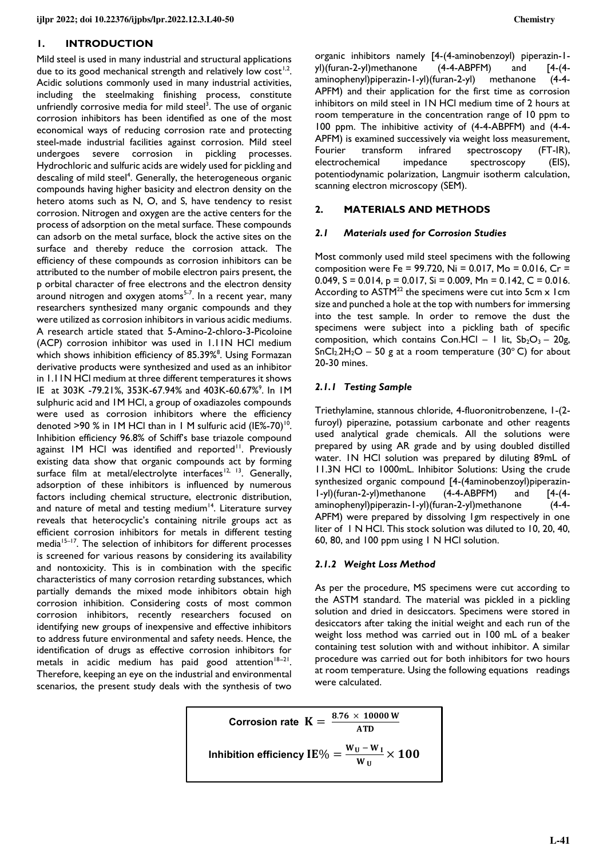## **1. INTRODUCTION**

Mild steel is used in many industrial and structural applications due to its good mechanical strength and relatively low  $cost^{1,2}$ . Acidic solutions commonly used in many industrial activities, including the steelmaking finishing process, constitute unfriendly corrosive media for mild steel<sup>3</sup>. The use of organic corrosion inhibitors has been identified as one of the most economical ways of reducing corrosion rate and protecting steel-made industrial facilities against corrosion. Mild steel undergoes severe corrosion in pickling processes. Hydrochloric and sulfuric acids are widely used for pickling and descaling of mild steel<sup>4</sup>. Generally, the heterogeneous organic compounds having higher basicity and electron density on the hetero atoms such as N, O, and S, have tendency to resist corrosion. Nitrogen and oxygen are the active centers for the process of adsorption on the metal surface. These compounds can adsorb on the metal surface, block the active sites on the surface and thereby reduce the corrosion attack. The efficiency of these compounds as corrosion inhibitors can be attributed to the number of mobile electron pairs present, the p orbital character of free electrons and the electron density around nitrogen and oxygen atoms<sup>5-7</sup>. In a recent year, many researchers synthesized many organic compounds and they were utilized as corrosion inhibitors in various acidic mediums. A research article stated that 5-Amino-2-chloro-3-Picoloine (ACP) corrosion inhibitor was used in 1.11N HCl medium which shows inhibition efficiency of 85.39%<sup>8</sup>. Using Formazan derivative products were synthesized and used as an inhibitor in 1.11N HCl medium at three different temperatures it shows IE at 303K -79.21%, 353K-67.94% and 403K-60.67%<sup>9</sup>. In IM sulphuric acid and 1M HCl, a group of oxadiazoles compounds were used as corrosion inhibitors where the efficiency denoted >90 % in IM HCI than in I M sulfuric acid (IE%-70)<sup>10</sup>. Inhibition efficiency 96.8% of Schiff's base triazole compound against IM HCl was identified and reported<sup>11</sup>. Previously existing data show that organic compounds act by forming surface film at metal/electrolyte interfaces<sup>12, 13</sup>. Generally, adsorption of these inhibitors is influenced by numerous factors including chemical structure, electronic distribution, and nature of metal and testing medium $14$ . Literature survey reveals that heterocyclic's containing nitrile groups act as efficient corrosion inhibitors for metals in different testing media<sup>15–17</sup>. The selection of inhibitors for different processes is screened for various reasons by considering its availability and nontoxicity. This is in combination with the specific characteristics of many corrosion retarding substances, which partially demands the mixed mode inhibitors obtain high corrosion inhibition. Considering costs of most common corrosion inhibitors, recently researchers focused on identifying new groups of inexpensive and effective inhibitors to address future environmental and safety needs. Hence, the identification of drugs as effective corrosion inhibitors for metals in acidic medium has paid good attention<sup>18−21</sup>. Therefore, keeping an eye on the industrial and environmental scenarios, the present study deals with the synthesis of two

organic inhibitors namely [4-(4-aminobenzoyl) piperazin-1 yl)(furan-2-yl)methanone (4-4-ABPFM) and [4-(4aminophenyl)piperazin-1-yl)(furan-2-yl) methanone (4-4- APFM) and their application for the first time as corrosion inhibitors on mild steel in 1N HCl medium time of 2 hours at room temperature in the concentration range of 10 ppm to 100 ppm. The inhibitive activity of (4-4-ABPFM) and (4-4- APFM) is examined successively via weight loss measurement,<br>Fourier transform infrared spectroscopy (FT-IR), Fourier transform infrared spectroscopy (FT-IR), electrochemical impedance spectroscopy (EIS), potentiodynamic polarization, Langmuir isotherm calculation, scanning electron microscopy (SEM).

# **2. MATERIALS AND METHODS**

#### *2.1 Materials used for Corrosion Studies*

Most commonly used mild steel specimens with the following composition were Fe = 99.720, Ni = 0.017, Mo = 0.016, Cr = 0.049,  $S = 0.014$ ,  $p = 0.017$ ,  $Si = 0.009$ ,  $Mn = 0.142$ ,  $C = 0.016$ . According to  $ASTM<sup>22</sup>$  the specimens were cut into 5cm x 1cm size and punched a hole at the top with numbers for immersing into the test sample. In order to remove the dust the specimens were subject into a pickling bath of specific composition, which contains Con.HCl – 1 lit,  $Sb_2O_3 - 20g$ ,  $SnCl<sub>2</sub>2H<sub>2</sub>O - 50 g$  at a room temperature (30°C) for about 20-30 mines.

# *2.1.1 Testing Sample*

Triethylamine, stannous chloride, 4-fluoronitrobenzene, 1-(2 furoyl) piperazine, potassium carbonate and other reagents used analytical grade chemicals. All the solutions were prepared by using AR grade and by using doubled distilled water. 1N HCl solution was prepared by diluting 89mL of 11.3N HCl to 1000mL. Inhibitor Solutions: Using the crude synthesized organic compound [4-(4aminobenzoyl)piperazin-1-yl)(furan-2-yl)methanone (4-4-ABPFM) and [4-(4 aminophenyl)piperazin-1-yl)(furan-2-yl)methanone (4-4- APFM) were prepared by dissolving 1gm respectively in one liter of 1 N HCl. This stock solution was diluted to 10, 20, 40, 60, 80, and 100 ppm using 1 N HCl solution.

#### *2.1.2 Weight Loss Method*

As per the procedure, MS specimens were cut according to the ASTM standard. The material was pickled in a pickling solution and dried in desiccators. Specimens were stored in desiccators after taking the initial weight and each run of the weight loss method was carried out in 100 mL of a beaker containing test solution with and without inhibitor. A similar procedure was carried out for both inhibitors for two hours at room temperature. Using the following equations readings were calculated.

Corrosion rate 
$$
K = \frac{8.76 \times 10000 \text{ W}}{\text{ATD}}
$$
  
Inhibition efficiency IE% =  $\frac{W_U - W_I}{W_U} \times 100$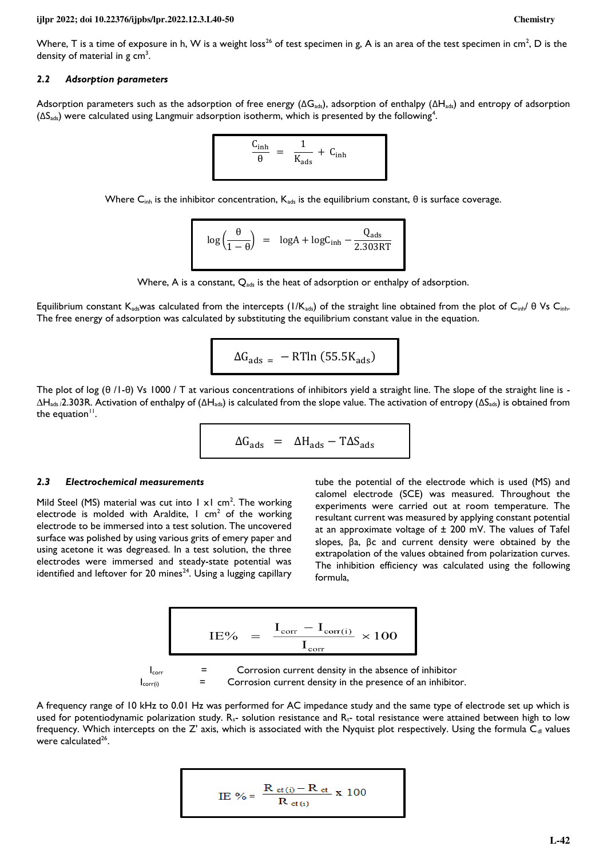#### **ijlpr 2022; doi 10.22376/ijpbs/lpr.2022.12.3.L40-50 Chemistry**

Where, T is a time of exposure in h, W is a weight loss<sup>26</sup> of test specimen in g, A is an area of the test specimen in cm<sup>2</sup>, D is the density of material in  $g \text{ cm}^3$ .

#### *2.2 Adsorption parameters*

Adsorption parameters such as the adsorption of free energy ( $\Delta G_{ads}$ ), adsorption of enthalpy ( $\Delta H_{ads}$ ) and entropy of adsorption  $( \Delta S_{\text{ads}} )$  were calculated using Langmuir adsorption isotherm, which is presented by the following<sup>4</sup>.

$$
\frac{C_{inh}}{\theta} = \frac{1}{K_{ads}} + C_{inh}
$$

Where  $C_{inh}$  is the inhibitor concentration,  $K_{ads}$  is the equilibrium constant,  $\theta$  is surface coverage.

$$
\log\left(\frac{\theta}{1-\theta}\right) = \log A + \log C_{\text{inh}} - \frac{Q_{\text{ads}}}{2.303RT}
$$

Where, A is a constant,  $Q_{ads}$  is the heat of adsorption or enthalpy of adsorption.

Equilibrium constant K<sub>ads</sub>was calculated from the intercepts (1/K<sub>ads</sub>) of the straight line obtained from the plot of C<sub>inh</sub>. θ Vs C<sub>inh</sub>. The free energy of adsorption was calculated by substituting the equilibrium constant value in the equation.

$$
\Delta G_{ads} = - RTln (55.5 K_{ads})
$$

The plot of log (θ /1-θ) Vs 1000 / T at various concentrations of inhibitors yield a straight line. The slope of the straight line is -  $\Delta H_{ads}$  /2.303R. Activation of enthalpy of ( $\Delta H_{ads}$ ) is calculated from the slope value. The activation of entropy ( $\Delta S_{ads}$ ) is obtained from the equation $\mathbf{u}^{\mathbf{u}}$ .

$$
\Delta G_{ads} = \Delta H_{ads} - T\Delta S_{ads}
$$

#### *2.3 Electrochemical measurements*

Mild Steel (MS) material was cut into  $1 \times 1$  cm<sup>2</sup>. The working electrode is molded with Araldite, I cm<sup>2</sup> of the working electrode to be immersed into a test solution. The uncovered surface was polished by using various grits of emery paper and using acetone it was degreased. In a test solution, the three electrodes were immersed and steady-state potential was identified and leftover for 20 mines<sup>24</sup>. Using a lugging capillary

tube the potential of the electrode which is used (MS) and calomel electrode (SCE) was measured. Throughout the experiments were carried out at room temperature. The resultant current was measured by applying constant potential at an approximate voltage of  $\pm$  200 mV. The values of Tafel slopes, βa, βc and current density were obtained by the extrapolation of the values obtained from polarization curves. The inhibition efficiency was calculated using the following formula,

$$
IE\% = \frac{I_{corr} - I_{corr(i)}}{I_{corr}} \times 100
$$
\n
$$
I_{corr} = \text{Corrosion current density in the absence of inhibitor}
$$
\n
$$
I_{corr(i)} = \text{Corrosion current density in the presence of an inhibitor.}
$$

A frequency range of 10 kHz to 0.01 Hz was performed for AC impedance study and the same type of electrode set up which is used for potentiodynamic polarization study.  $R_s$ - solution resistance and  $R_t$ - total resistance were attained between high to low frequency. Which intercepts on the  $Z'$  axis, which is associated with the Nyquist plot respectively. Using the formula  $C<sub>d</sub>$  values were calculated<sup>26</sup>.

IE % = 
$$
\frac{R_{ct(i)} - R_{ct}}{R_{ct(i)}}
$$
 x 100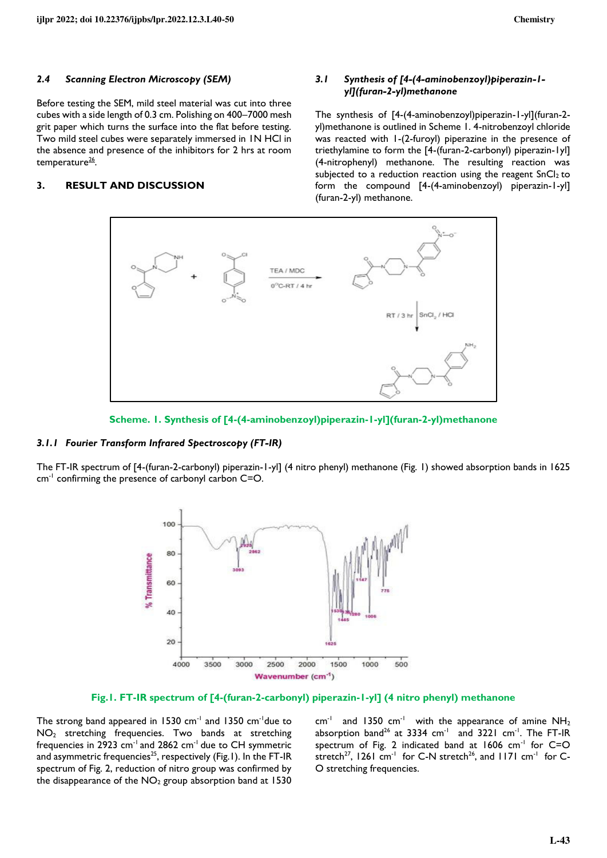#### *2.4 Scanning Electron Microscopy (SEM)*

Before testing the SEM, mild steel material was cut into three cubes with a side length of 0.3 cm. Polishing on 400–7000 mesh grit paper which turns the surface into the flat before testing. Two mild steel cubes were separately immersed in 1N HCl in the absence and presence of the inhibitors for 2 hrs at room temperature<sup>26</sup>.

# **3. RESULT AND DISCUSSION**

# *3.1 Synthesis of [4-(4-aminobenzoyl)piperazin-1 yl](furan-2-yl)methanone*

The synthesis of [4-(4-aminobenzoyl)piperazin-1-yl](furan-2 yl)methanone is outlined in Scheme 1. 4-nitrobenzoyl chloride was reacted with 1-(2-furoyl) piperazine in the presence of triethylamine to form the [4-(furan-2-carbonyl) piperazin-1yl] (4-nitrophenyl) methanone. The resulting reaction was subjected to a reduction reaction using the reagent  $SnCl<sub>2</sub>$  to form the compound [4-(4-aminobenzoyl) piperazin-1-yl] (furan-2-yl) methanone.





#### *3.1.1 Fourier Transform Infrared Spectroscopy (FT-IR)*

The FT-IR spectrum of [4-(furan-2-carbonyl) piperazin-1-yl] (4 nitro phenyl) methanone (Fig. 1) showed absorption bands in 1625 cm<sup>-1</sup> confirming the presence of carbonyl carbon C=O.



**Fig.1. FT-IR spectrum of [4-(furan-2-carbonyl) piperazin-1-yl] (4 nitro phenyl) methanone**

The strong band appeared in 1530 cm<sup>-1</sup> and 1350 cm<sup>-1</sup>due to NO2 stretching frequencies. Two bands at stretching frequencies in 2923 cm<sup>-1</sup> and 2862 cm<sup>-1</sup> due to CH symmetric and asymmetric frequencies<sup>25</sup>, respectively (Fig.1). In the FT-IR spectrum of Fig. 2, reduction of nitro group was confirmed by the disappearance of the  $NO<sub>2</sub>$  group absorption band at 1530

 $cm^{-1}$  and 1350  $cm^{-1}$  with the appearance of amine NH<sub>2</sub> absorption band<sup>26</sup> at 3334  $cm^{-1}$  and 3221  $cm^{-1}$ . The FT-IR spectrum of Fig. 2 indicated band at 1606 cm<sup>-1</sup> for C=O stretch<sup>27</sup>, 1261 cm<sup>-1</sup> for C-N stretch<sup>26</sup>, and 1171 cm<sup>-1</sup> for C-O stretching frequencies.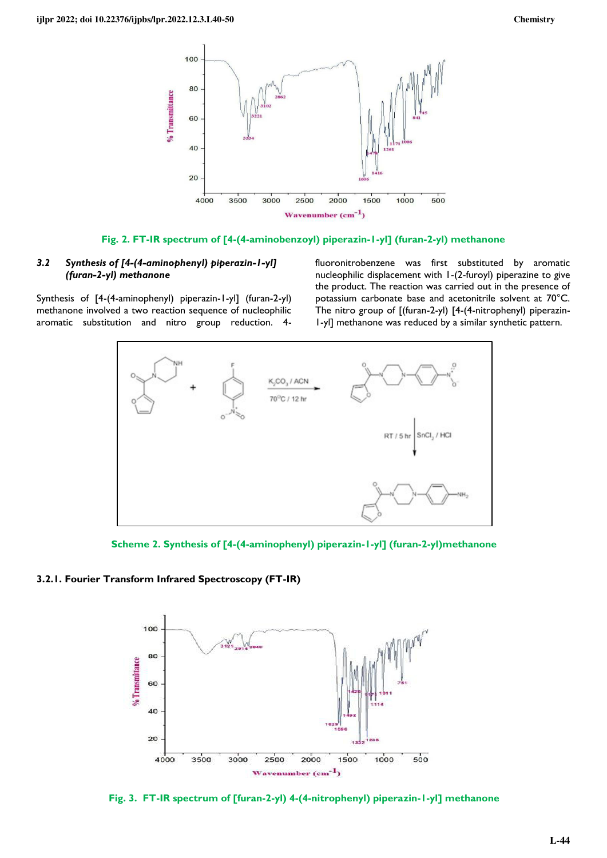

# **Fig. 2. FT-IR spectrum of [4-(4-aminobenzoyl) piperazin-1-yl] (furan-2-yl) methanone**

# *3.2 Synthesis of [4-(4-aminophenyl) piperazin-1-yl] (furan-2-yl) methanone*

Synthesis of [4-(4-aminophenyl) piperazin-1-yl] (furan-2-yl) methanone involved a two reaction sequence of nucleophilic aromatic substitution and nitro group reduction. 4fluoronitrobenzene was first substituted by aromatic nucleophilic displacement with 1-(2-furoyl) piperazine to give the product. The reaction was carried out in the presence of potassium carbonate base and acetonitrile solvent at 70°C. The nitro group of [(furan-2-yl) [4-(4-nitrophenyl) piperazin-1-yl] methanone was reduced by a similar synthetic pattern.



**Scheme 2. Synthesis of [4-(4-aminophenyl) piperazin-1-yl] (furan-2-yl)methanone** 

# **3.2.1. Fourier Transform Infrared Spectroscopy (FT-IR)**



**Fig. 3. FT-IR spectrum of [furan-2-yl) 4-(4-nitrophenyl) piperazin-1-yl] methanone**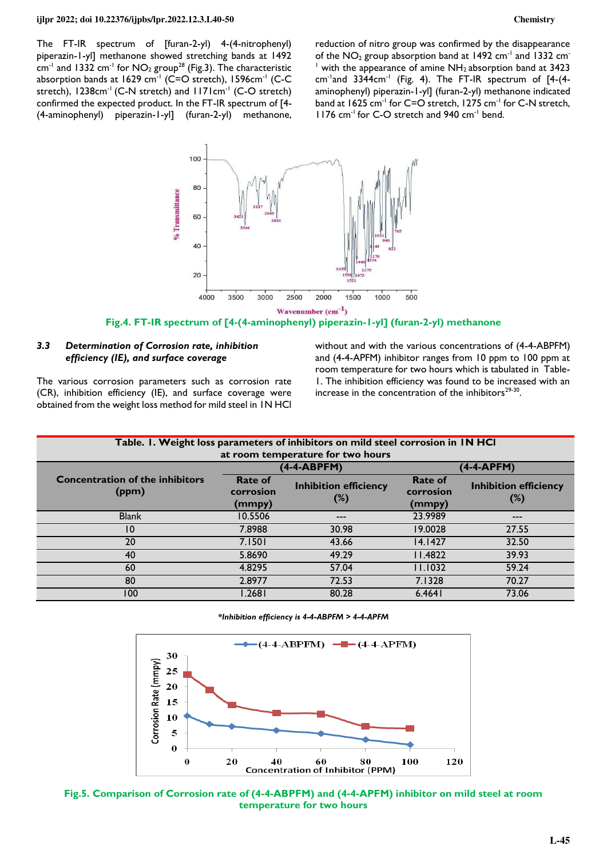The FT-IR spectrum of [furan-2-yl) 4-(4-nitrophenyl) piperazin-1-yl] methanone showed stretching bands at 1492  $cm^{-1}$  and 1332 cm<sup>-1</sup> for NO<sub>2</sub> group<sup>28</sup> (Fig.3). The characteristic absorption bands at 1629  $cm^{-1}$  (C=O stretch), 1596 $cm^{-1}$  (C-C stretch), 1238cm<sup>-1</sup> (C-N stretch) and 1171cm<sup>-1</sup> (C-O stretch) confirmed the expected product. In the FT-IR spectrum of [4- (4-aminophenyl) piperazin-1-yl] (furan-2-yl) methanone,

reduction of nitro group was confirmed by the disappearance of the  $NO<sub>2</sub>$  group absorption band at 1492 cm<sup>-1</sup> and 1332 cm<sup>-</sup>  $<sup>1</sup>$  with the appearance of amine NH<sub>2</sub> absorption band at 3423</sup> cm<sup>-1</sup>and 3344cm<sup>-1</sup> (Fig. 4). The FT-IR spectrum of  $[4-(4-1)]$ aminophenyl) piperazin-1-yl] (furan-2-yl) methanone indicated band at 1625 cm<sup>-1</sup> for C=O stretch, 1275 cm<sup>-1</sup> for C-N stretch, 1176 cm<sup>-1</sup> for C-O stretch and 940 cm<sup>-1</sup> bend.



**Fig.4. FT-IR spectrum of [4-(4-aminophenyl) piperazin-1-yl] (furan-2-yl) methanone** 

## *3.3 Determination of Corrosion rate, inhibition efficiency (IE), and surface coverage*

The various corrosion parameters such as corrosion rate (CR), inhibition efficiency (IE), and surface coverage were obtained from the weight loss method for mild steel in 1N HCl without and with the various concentrations of (4-4-ABPFM) and (4-4-APFM) inhibitor ranges from 10 ppm to 100 ppm at room temperature for two hours which is tabulated in Table-1. The inhibition efficiency was found to be increased with an increase in the concentration of the inhibitors $2^{9-30}$ .

| Table. I. Weight loss parameters of inhibitors on mild steel corrosion in IN HCI |                                       |                                     |                                       |                                     |  |
|----------------------------------------------------------------------------------|---------------------------------------|-------------------------------------|---------------------------------------|-------------------------------------|--|
| at room temperature for two hours                                                |                                       |                                     |                                       |                                     |  |
|                                                                                  | (4-4-ABPFM)                           |                                     | $(4-4-APFM)$                          |                                     |  |
| <b>Concentration of the inhibitors</b><br>(ppm)                                  | <b>Rate of</b><br>corrosion<br>(mmpy) | <b>Inhibition efficiency</b><br>(%) | <b>Rate of</b><br>corrosion<br>(mmpy) | <b>Inhibition efficiency</b><br>(%) |  |
| <b>Blank</b>                                                                     | 10.5506                               | ---                                 | 23.9989                               | $- - -$                             |  |
| 10                                                                               | 7.8988                                | 30.98                               | 19.0028                               | 27.55                               |  |
| 20                                                                               | 7.1501                                | 43.66                               | 14.1427                               | 32.50                               |  |
| 40                                                                               | 5.8690                                | 49.29                               | 11.4822                               | 39.93                               |  |
| 60                                                                               | 4.8295                                | 57.04                               | 11.1032                               | 59.24                               |  |
| 80                                                                               | 2.8977                                | 72.53                               | 7.1328                                | 70.27                               |  |
| 100                                                                              | .2681                                 | 80.28                               | 6.4641                                | 73.06                               |  |

**\****Inhibition efficiency is 4-4-ABPFM > 4-4-APFM*



**Fig.5. Comparison of Corrosion rate of (4-4-ABPFM) and (4-4-APFM) inhibitor on mild steel at room temperature for two hours**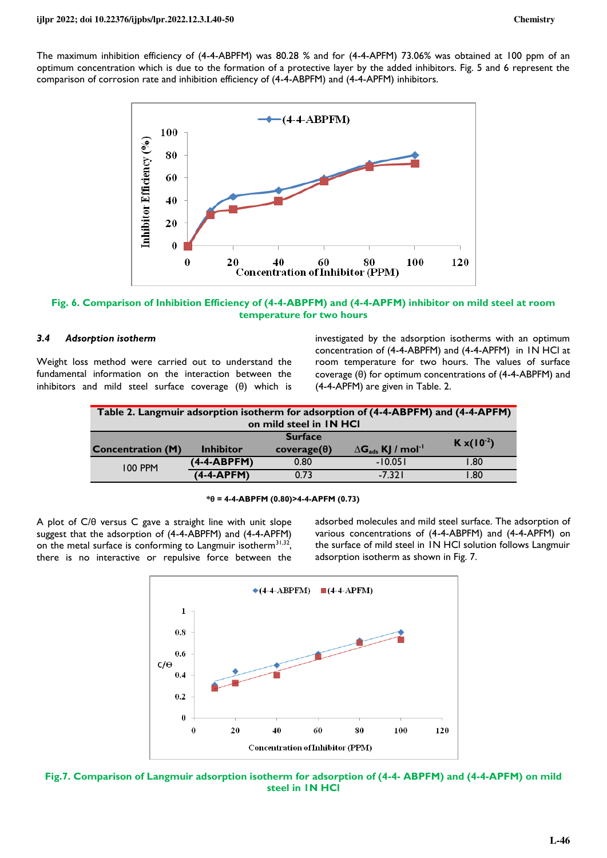The maximum inhibition efficiency of (4-4-ABPFM) was 80.28 % and for (4-4-APFM) 73.06% was obtained at 100 ppm of an optimum concentration which is due to the formation of a protective layer by the added inhibitors. Fig. 5 and 6 represent the comparison of corrosion rate and inhibition efficiency of (4-4-ABPFM) and (4-4-APFM) inhibitors.



**Fig. 6. Comparison of Inhibition Efficiency of (4-4-ABPFM) and (4-4-APFM) inhibitor on mild steel at room temperature for two hours** 

### *3.4 Adsorption isotherm*

Weight loss method were carried out to understand the fundamental information on the interaction between the inhibitors and mild steel surface coverage (θ) which is

investigated by the adsorption isotherms with an optimum concentration of (4-4-ABPFM) and (4-4-APFM) in 1N HCl at room temperature for two hours. The values of surface coverage (θ) for optimum concentrations of (4-4-ABPFM) and (4-4-APFM) are given in Table. 2.

| Table 2. Langmuir adsorption isotherm for adsorption of (4-4-ABPFM) and (4-4-APFM)<br>on mild steel in IN HCI |                  |                                      |                                                |                      |  |
|---------------------------------------------------------------------------------------------------------------|------------------|--------------------------------------|------------------------------------------------|----------------------|--|
| <b>Concentration (M)</b>                                                                                      | <b>Inhibitor</b> | <b>Surface</b><br>$coverage(\theta)$ | $\Delta G_{\text{ads}}$ KJ / mol <sup>-1</sup> | $K \times (10^{-2})$ |  |
| <b>100 PPM</b>                                                                                                | $(4-4-ABPFM)$    | 0.80                                 | $-10.051$                                      | 1.80                 |  |
|                                                                                                               | (4-4-APFM)       | 0.73                                 | $-7.321$                                       | .80                  |  |

#### **\*θ = 4-4-ABPFM (0.80)>4-4-APFM (0.73)**

A plot of C/θ versus C gave a straight line with unit slope suggest that the adsorption of (4-4-ABPFM) and (4-4-APFM) on the metal surface is conforming to Langmuir isotherm<sup>31,32</sup>, there is no interactive or repulsive force between the

adsorbed molecules and mild steel surface. The adsorption of various concentrations of (4-4-ABPFM) and (4-4-APFM) on the surface of mild steel in 1N HCl solution follows Langmuir adsorption isotherm as shown in Fig. 7.



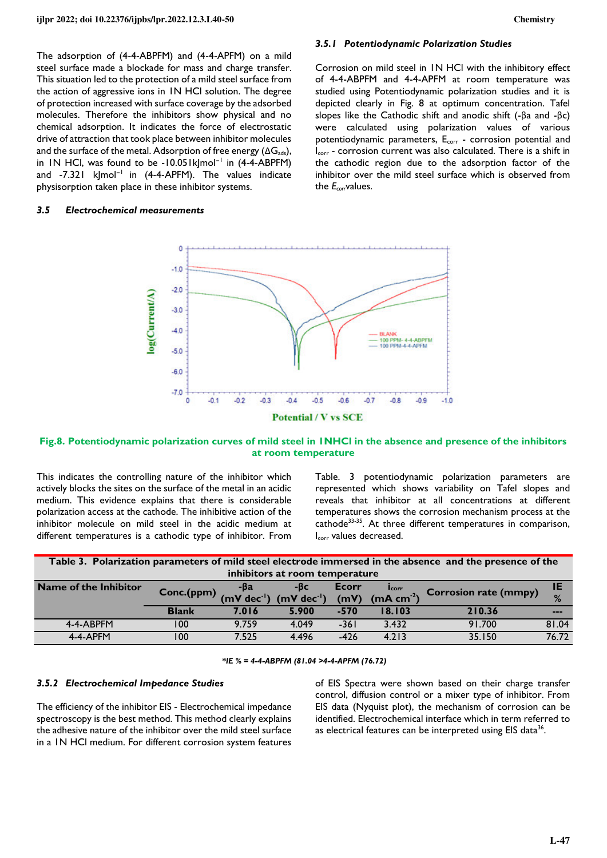The adsorption of (4-4-ABPFM) and (4-4-APFM) on a mild steel surface made a blockade for mass and charge transfer. This situation led to the protection of a mild steel surface from the action of aggressive ions in 1N HCl solution. The degree of protection increased with surface coverage by the adsorbed molecules. Therefore the inhibitors show physical and no chemical adsorption. It indicates the force of electrostatic drive of attraction that took place between inhibitor molecules and the surface of the metal. Adsorption of free energy  $(\Delta G_{ads})$ , in 1N HCl, was found to be -10.051kJmol<sup>−</sup><sup>1</sup> in (4-4-ABPFM) and -7.321 k|mol<sup>-1</sup> in (4-4-APFM). The values indicate physisorption taken place in these inhibitor systems.

#### *3.5 Electrochemical measurements*

#### *3.5.1 Potentiodynamic Polarization Studies*

Corrosion on mild steel in 1N HCl with the inhibitory effect of 4-4-ABPFM and 4-4-APFM at room temperature was studied using Potentiodynamic polarization studies and it is depicted clearly in Fig. 8 at optimum concentration. Tafel slopes like the Cathodic shift and anodic shift (-βa and -βc) were calculated using polarization values of various potentiodynamic parameters, E<sub>corr</sub> - corrosion potential and I<sub>corr</sub> - corrosion current was also calculated. There is a shift in the cathodic region due to the adsorption factor of the inhibitor over the mild steel surface which is observed from the *Ecorr*values.



# **Fig.8. Potentiodynamic polarization curves of mild steel in 1NHCl in the absence and presence of the inhibitors at room temperature**

This indicates the controlling nature of the inhibitor which actively blocks the sites on the surface of the metal in an acidic medium. This evidence explains that there is considerable polarization access at the cathode. The inhibitive action of the inhibitor molecule on mild steel in the acidic medium at different temperatures is a cathodic type of inhibitor. From

Table. 3 potentiodynamic polarization parameters are represented which shows variability on Tafel slopes and reveals that inhibitor at all concentrations at different temperatures shows the corrosion mechanism process at the cathode<sup>33-35</sup>. At three different temperatures in comparison, Icorr values decreased.

| Table 3. Polarization parameters of mild steel electrode immersed in the absence and the presence of the |              |       |                                                                   |        |                               |                              |       |
|----------------------------------------------------------------------------------------------------------|--------------|-------|-------------------------------------------------------------------|--------|-------------------------------|------------------------------|-------|
| inhibitors at room temperature                                                                           |              |       |                                                                   |        |                               |                              |       |
| Name of the Inhibitor                                                                                    | Conc.(ppm)   |       |                                                                   | Ecorr  | <b>I</b> corr                 | <b>Corrosion rate (mmpy)</b> | IE    |
|                                                                                                          |              |       | $-\beta a$ -βc<br>(mV dec <sup>-l</sup> ) (mV dec <sup>-l</sup> ) |        | $(mV)$ (mA cm <sup>-2</sup> ) |                              | %     |
|                                                                                                          | <b>Blank</b> | 7.016 | 5.900                                                             | $-570$ | 18.103                        | 210.36                       | ---   |
| 4-4-ABPFM                                                                                                | 100          | 9.759 | 4.049                                                             | $-361$ | 3.432                         | 91.700                       | 81.04 |
| 4-4-APFM                                                                                                 | 100          | 7.525 | 4.496                                                             | $-426$ | 4.213                         | 35.150                       | 76.72 |

*\*IE % = 4-4-ABPFM (81.04 >4-4-APFM (76.72)* 

#### *3.5.2 Electrochemical Impedance Studies*

The efficiency of the inhibitor EIS - Electrochemical impedance spectroscopy is the best method. This method clearly explains the adhesive nature of the inhibitor over the mild steel surface in a 1N HCl medium. For different corrosion system features of EIS Spectra were shown based on their charge transfer control, diffusion control or a mixer type of inhibitor. From EIS data (Nyquist plot), the mechanism of corrosion can be identified. Electrochemical interface which in term referred to as electrical features can be interpreted using EIS data<sup>36</sup>.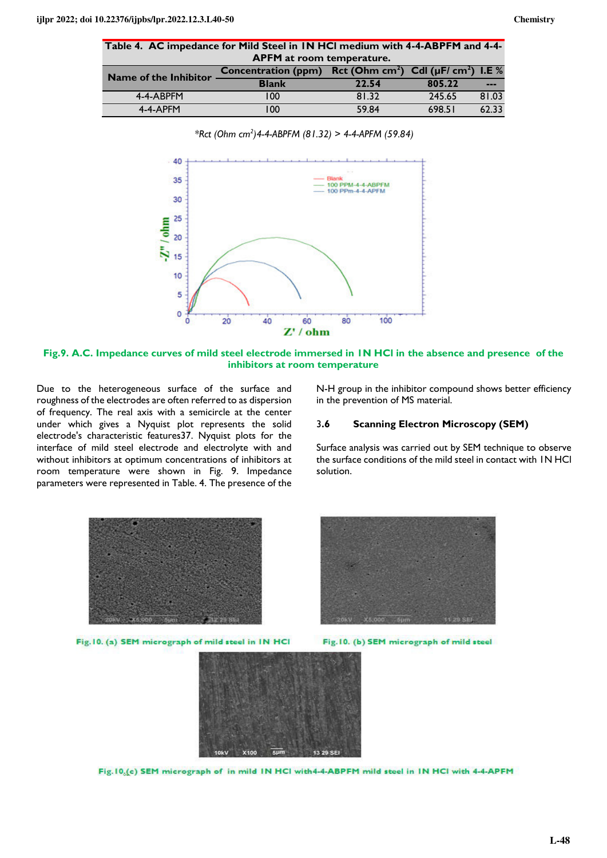|                                  | Table 4. AC impedance for Mild Steel in IN HCI medium with 4-4-ABPFM and 4-4- |  |  |  |
|----------------------------------|-------------------------------------------------------------------------------|--|--|--|
| <b>APFM</b> at room temperature. |                                                                               |  |  |  |

| Name of the Inhibitor | <b>Concentration (ppm)</b> | Rct (Ohm cm <sup>2</sup> ) Cdl ( $\mu$ F/ cm <sup>2</sup> ) I.E % |        |               |  |  |  |
|-----------------------|----------------------------|-------------------------------------------------------------------|--------|---------------|--|--|--|
|                       | <b>Blank</b>               | 22.54                                                             | 805.22 | $\frac{1}{2}$ |  |  |  |
| 4-4-ABPFM             | 00                         | 81.32                                                             | 245.65 | 81.03         |  |  |  |
| 4-4-APFM              | 00                         | 59.84                                                             | 698.51 | 62.33         |  |  |  |



*\*Rct (Ohm cm<sup>2</sup> )4-4-ABPFM (81.32) > 4-4-APFM (59.84)*

**Fig.9. A.C. Impedance curves of mild steel electrode immersed in 1N HCl in the absence and presence of the inhibitors at room temperature** 

Due to the heterogeneous surface of the surface and roughness of the electrodes are often referred to as dispersion of frequency. The real axis with a semicircle at the center under which gives a Nyquist plot represents the solid electrode's characteristic features37. Nyquist plots for the interface of mild steel electrode and electrolyte with and without inhibitors at optimum concentrations of inhibitors at room temperature were shown in Fig. 9. Impedance parameters were represented in Table. 4. The presence of the

N-H group in the inhibitor compound shows better efficiency in the prevention of MS material.

### 3**.6 Scanning Electron Microscopy (SEM)**

Surface analysis was carried out by SEM technique to observe the surface conditions of the mild steel in contact with 1N HCl solution.



Fig. 10. (a) SEM micrograph of mild steel in IN HCI



Fig. 10. (b) SEM micrograph of mild steel



Fig. 10.(c) SEM micrograph of in mild IN HCl with4-4-ABPFM mild steel in IN HCl with 4-4-APFM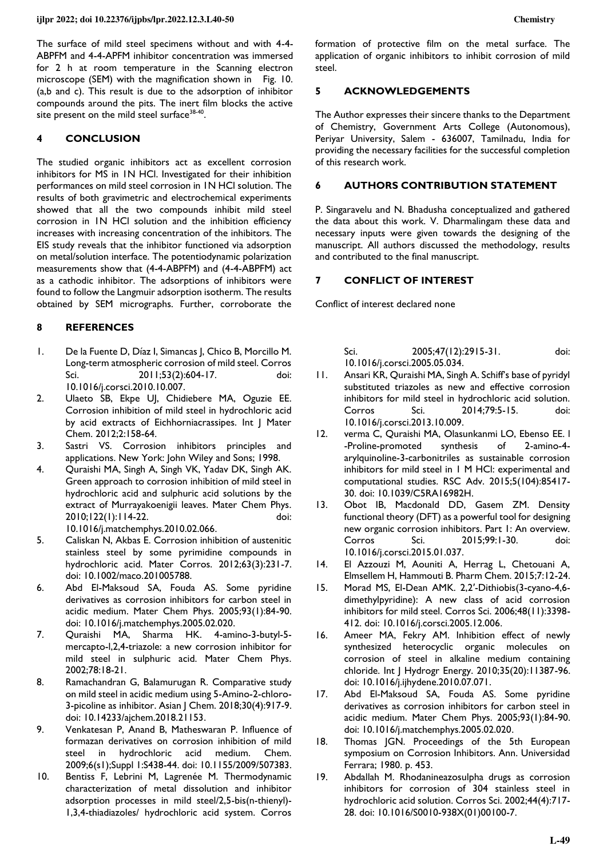The surface of mild steel specimens without and with 4-4- ABPFM and 4-4-APFM inhibitor concentration was immersed for 2 h at room temperature in the Scanning electron microscope (SEM) with the magnification shown in Fig. 10. (a,b and c). This result is due to the adsorption of inhibitor compounds around the pits. The inert film blocks the active site present on the mild steel surface<sup>38-40</sup>.

## **4 CONCLUSION**

The studied organic inhibitors act as excellent corrosion inhibitors for MS in 1N HCl. Investigated for their inhibition performances on mild steel corrosion in 1N HCl solution. The results of both gravimetric and electrochemical experiments showed that all the two compounds inhibit mild steel corrosion in 1N HCl solution and the inhibition efficiency increases with increasing concentration of the inhibitors. The EIS study reveals that the inhibitor functioned via adsorption on metal/solution interface. The potentiodynamic polarization measurements show that (4-4-ABPFM) and (4-4-ABPFM) act as a cathodic inhibitor. The adsorptions of inhibitors were found to follow the Langmuir adsorption isotherm. The results obtained by SEM micrographs. Further, corroborate the

### **8 REFERENCES**

- 1. De la Fuente D, Díaz I, Simancas J, Chico B, Morcillo M. Long-term atmospheric corrosion of mild steel. Corros Sci. 2011;53(2):604-17. doi: [10.1016/j.corsci.2010.10.007.](https://doi.org/10.1016/j.corsci.2010.10.007)
- 2. Ulaeto SB, Ekpe UJ, Chidiebere MA, Oguzie EE. Corrosion inhibition of mild steel in hydrochloric acid by acid extracts of Eichhorniacrassipes. Int J Mater Chem. 2012;2:158-64.
- 3. Sastri VS. Corrosion inhibitors principles and applications. New York: John Wiley and Sons; 1998.
- 4. Quraishi MA, Singh A, Singh VK, Yadav DK, Singh AK. Green approach to corrosion inhibition of mild steel in hydrochloric acid and sulphuric acid solutions by the extract of Murrayakoenigii leaves. Mater Chem Phys. 2010;122(1):114-22. doi: [10.1016/j.matchemphys.2010.02.066.](https://doi.org/10.1016/j.matchemphys.2010.02.066)
- 5. Caliskan N, Akbas E. Corrosion inhibition of austenitic stainless steel by some pyrimidine compounds in hydrochloric acid. Mater Corros. 2012;63(3):231-7. doi: [10.1002/maco.201005788.](https://doi.org/10.1002/maco.201005788)
- 6. Abd El-Maksoud SA, Fouda AS. Some pyridine derivatives as corrosion inhibitors for carbon steel in acidic medium. Mater Chem Phys. 2005;93(1):84-90. doi: [10.1016/j.matchemphys.2005.02.020.](https://doi.org/10.1016/j.matchemphys.2005.02.020)
- 7. Quraishi MA, Sharma HK. 4-amino-3-butyl-5 mercapto-l,2,4-triazole: a new corrosion inhibitor for mild steel in sulphuric acid. Mater Chem Phys. 2002;78:18-21.
- 8. Ramachandran G, Balamurugan R. Comparative study on mild steel in acidic medium using 5-Amino-2-chloro-3-picoline as inhibitor. Asian J Chem. 2018;30(4):917-9. doi: [10.14233/ajchem.2018.21153.](https://doi.org/10.14233/ajchem.2018.21153)
- 9. Venkatesan P, Anand B, Matheswaran P. Influence of formazan derivatives on corrosion inhibition of mild steel in hydrochloric acid medium. Chem. 2009;6(s1);Suppl 1:S438-44. doi: [10.1155/2009/507383.](https://doi.org/10.1155/2009/507383)
- 10. Bentiss F, Lebrini M, Lagrenée M. Thermodynamic characterization of metal dissolution and inhibitor adsorption processes in mild steel/2,5-bis(n-thienyl)- 1,3,4-thiadiazoles/ hydrochloric acid system. Corros

formation of protective film on the metal surface. The application of organic inhibitors to inhibit corrosion of mild steel.

### **5 ACKNOWLEDGEMENTS**

The Author expresses their sincere thanks to the Department of Chemistry, Government Arts College (Autonomous), Periyar University, Salem - 636007, Tamilnadu, India for providing the necessary facilities for the successful completion of this research work.

#### **6 AUTHORS CONTRIBUTION STATEMENT**

P. Singaravelu and N. Bhadusha conceptualized and gathered the data about this work. V. Dharmalingam these data and necessary inputs were given towards the designing of the manuscript. All authors discussed the methodology, results and contributed to the final manuscript.

# **7 CONFLICT OF INTEREST**

Conflict of interest declared none

Sci. 2005;47(12):2915-31. doi: [10.1016/j.corsci.2005.05.034.](https://doi.org/10.1016/j.corsci.2005.05.034)

- 11. Ansari KR, Quraishi MA, Singh A. Schiff's base of pyridyl substituted triazoles as new and effective corrosion inhibitors for mild steel in hydrochloric acid solution. Corros Sci. 2014;79:5-15. doi: [10.1016/j.corsci.2013.10.009.](https://doi.org/10.1016/j.corsci.2013.10.009)
- 12. verma C, Quraishi MA, Olasunkanmi LO, Ebenso EE. l -Proline-promoted synthesis of 2-amino-4 arylquinoline-3-carbonitriles as sustainable corrosion inhibitors for mild steel in 1 M HCl: experimental and computational studies. RSC Adv. 2015;5(104):85417- 30. doi: [10.1039/C5RA16982H.](https://doi.org/10.1039/C5RA16982H)
- 13. Obot IB, Macdonald DD, Gasem ZM. Density functional theory (DFT) as a powerful tool for designing new organic corrosion inhibitors. Part 1: An overview. Corros Sci. 2015;99:1-30. doi: [10.1016/j.corsci.2015.01.037.](https://doi.org/10.1016/j.corsci.2015.01.037)
- 14. El Azzouzi M, Aouniti A, Herrag L, Chetouani A, Elmsellem H, Hammouti B. Pharm Chem. 2015;7:12-24.
- 15. Morad MS, El-Dean AMK. 2,2′-Dithiobis(3-cyano-4,6 dimethylpyridine): A new class of acid corrosion inhibitors for mild steel. Corros Sci. 2006;48(11):3398- 412. doi: [10.1016/j.corsci.2005.12.006.](https://doi.org/10.1016/j.corsci.2005.12.006)
- 16. Ameer MA, Fekry AM. Inhibition effect of newly synthesized heterocyclic organic molecules on corrosion of steel in alkaline medium containing chloride. Int J Hydrogr Energy. 2010;35(20):11387-96. doi: [10.1016/j.ijhydene.2010.07.071.](https://doi.org/10.1016/j.ijhydene.2010.07.071)
- 17. Abd El-Maksoud SA, Fouda AS. Some pyridine derivatives as corrosion inhibitors for carbon steel in acidic medium. Mater Chem Phys. 2005;93(1):84-90. doi: [10.1016/j.matchemphys.2005.02.020.](https://doi.org/10.1016/j.matchemphys.2005.02.020)
- 18. Thomas JGN. Proceedings of the 5th European symposium on Corrosion Inhibitors. Ann. Universidad Ferrara; 1980. p. 453.
- 19. Abdallah M. Rhodanineazosulpha drugs as corrosion inhibitors for corrosion of 304 stainless steel in hydrochloric acid solution. Corros Sci. 2002;44(4):717- 28. doi: [10.1016/S0010-938X\(01\)00100-7.](https://doi.org/10.1016/S0010-938X(01)00100-7)